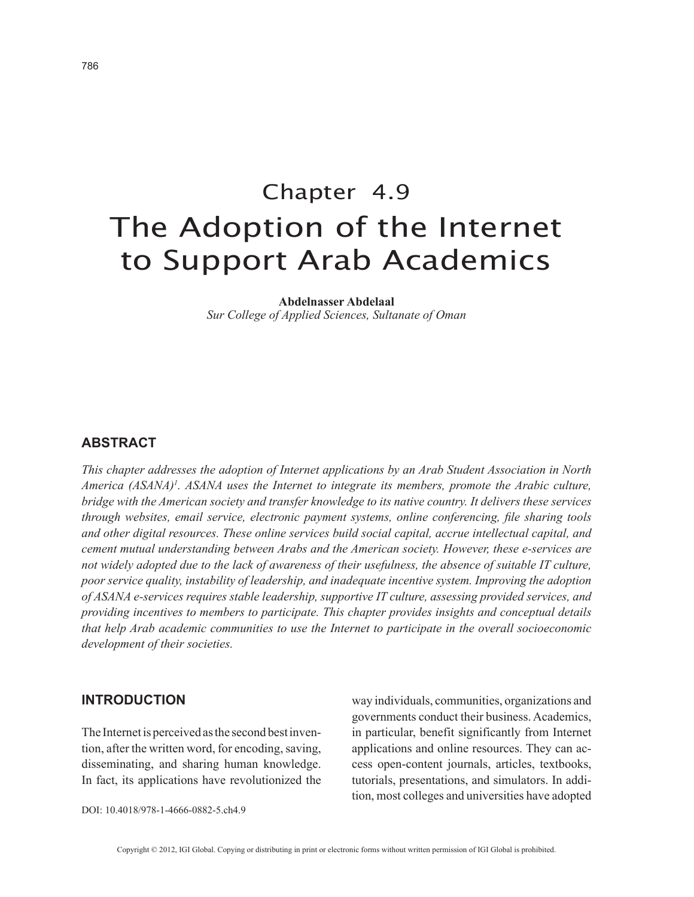# Chapter 4.9 The Adoption of the Internet to Support Arab Academics

**Abdelnasser Abdelaal**

*Sur College of Applied Sciences, Sultanate of Oman*

#### **ABSTRACT**

*This chapter addresses the adoption of Internet applications by an Arab Student Association in North*  America (ASANA)<sup>1</sup>. ASANA uses the Internet to integrate its members, promote the Arabic culture, *bridge with the American society and transfer knowledge to its native country. It delivers these services through websites, email service, electronic payment systems, online conferencing, file sharing tools and other digital resources. These online services build social capital, accrue intellectual capital, and cement mutual understanding between Arabs and the American society. However, these e-services are not widely adopted due to the lack of awareness of their usefulness, the absence of suitable IT culture, poor service quality, instability of leadership, and inadequate incentive system. Improving the adoption of ASANA e-services requires stable leadership, supportive IT culture, assessing provided services, and providing incentives to members to participate. This chapter provides insights and conceptual details that help Arab academic communities to use the Internet to participate in the overall socioeconomic development of their societies.*

#### **INTRODUCTION**

The Internet is perceived as the second best invention, after the written word, for encoding, saving, disseminating, and sharing human knowledge. In fact, its applications have revolutionized the way individuals, communities, organizations and governments conduct their business. Academics, in particular, benefit significantly from Internet applications and online resources. They can access open-content journals, articles, textbooks, tutorials, presentations, and simulators. In addition, most colleges and universities have adopted

DOI: 10.4018/978-1-4666-0882-5.ch4.9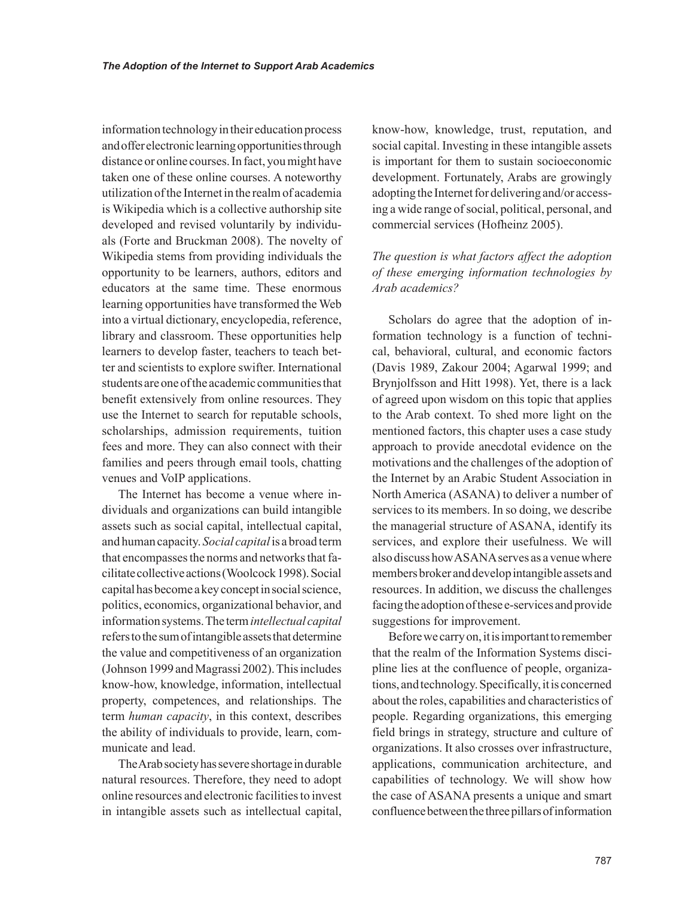information technology in their education process and offer electronic learning opportunities through distance or online courses. In fact, you might have taken one of these online courses. A noteworthy utilization of the Internet in the realm of academia is Wikipedia which is a collective authorship site developed and revised voluntarily by individuals (Forte and Bruckman 2008). The novelty of Wikipedia stems from providing individuals the opportunity to be learners, authors, editors and educators at the same time. These enormous learning opportunities have transformed the Web into a virtual dictionary, encyclopedia, reference, library and classroom. These opportunities help learners to develop faster, teachers to teach better and scientists to explore swifter. International students are one of the academic communities that benefit extensively from online resources. They use the Internet to search for reputable schools, scholarships, admission requirements, tuition fees and more. They can also connect with their families and peers through email tools, chatting venues and VoIP applications.

The Internet has become a venue where individuals and organizations can build intangible assets such as social capital, intellectual capital, and human capacity. *Social capital* is a broad term that encompasses the norms and networks that facilitate collective actions (Woolcock 1998). Social capital has become a key concept in social science, politics, economics, organizational behavior, and information systems. The term *intellectual capital* refers to the sum of intangible assets that determine the value and competitiveness of an organization (Johnson 1999 and Magrassi 2002). This includes know-how, knowledge, information, intellectual property, competences, and relationships. The term *human capacity*, in this context, describes the ability of individuals to provide, learn, communicate and lead.

The Arab society has severe shortage in durable natural resources. Therefore, they need to adopt online resources and electronic facilities to invest in intangible assets such as intellectual capital,

know-how, knowledge, trust, reputation, and social capital. Investing in these intangible assets is important for them to sustain socioeconomic development. Fortunately, Arabs are growingly adopting the Internet for delivering and/or accessing a wide range of social, political, personal, and commercial services (Hofheinz 2005).

# *The question is what factors affect the adoption of these emerging information technologies by Arab academics?*

Scholars do agree that the adoption of information technology is a function of technical, behavioral, cultural, and economic factors (Davis 1989, Zakour 2004; Agarwal 1999; and Brynjolfsson and Hitt 1998). Yet, there is a lack of agreed upon wisdom on this topic that applies to the Arab context. To shed more light on the mentioned factors, this chapter uses a case study approach to provide anecdotal evidence on the motivations and the challenges of the adoption of the Internet by an Arabic Student Association in North America (ASANA) to deliver a number of services to its members. In so doing, we describe the managerial structure of ASANA, identify its services, and explore their usefulness. We will also discuss how ASANA serves as a venue where members broker and develop intangible assets and resources. In addition, we discuss the challenges facing the adoption of these e-services and provide suggestions for improvement.

Before we carry on, it is important to remember that the realm of the Information Systems discipline lies at the confluence of people, organizations, and technology. Specifically, it is concerned about the roles, capabilities and characteristics of people. Regarding organizations, this emerging field brings in strategy, structure and culture of organizations. It also crosses over infrastructure, applications, communication architecture, and capabilities of technology. We will show how the case of ASANA presents a unique and smart confluence between the three pillars of information